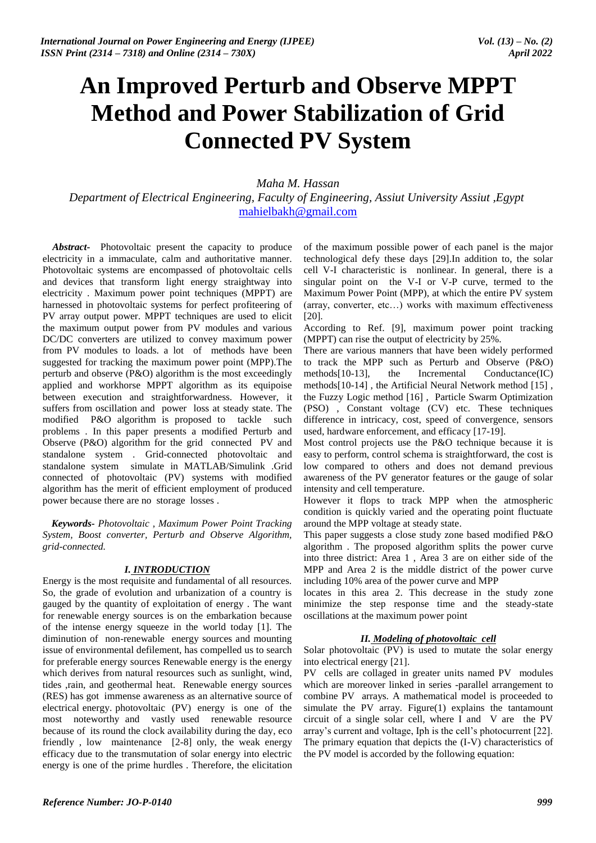# **An Improved Perturb and Observe MPPT Method and Power Stabilization of Grid Connected PV System**

*Maha M. Hassan*

*Department of Electrical Engineering, Faculty of Engineering, Assiut University Assiut ,Egypt*  mahielbakh@gmail.com

*Abstract***-** Photovoltaic present the capacity to produce electricity in a immaculate, calm and authoritative manner. Photovoltaic systems are encompassed of photovoltaic cells and devices that transform light energy straightway into electricity . Maximum power point techniques (MPPT) are harnessed in photovoltaic systems for perfect profiteering of PV array output power. MPPT techniques are used to elicit the maximum output power from PV modules and various DC/DC converters are utilized to convey maximum power from PV modules to loads. a lot of methods have been suggested for tracking the maximum power point (MPP).The perturb and observe (P&O) algorithm is the most exceedingly applied and workhorse MPPT algorithm as its equipoise between execution and straightforwardness. However, it suffers from oscillation and power loss at steady state. The modified P&O algorithm is proposed to tackle such problems . In this paper presents a modified Perturb and Observe (P&O) algorithm for the grid connected PV and standalone system . Grid-connected photovoltaic and standalone system simulate in MATLAB/Simulink .Grid connected of photovoltaic (PV) systems with modified algorithm has the merit of efficient employment of produced power because there are no storage losses .

*Keywords***-** *Photovoltaic , Maximum Power Point Tracking System, Boost converter, Perturb and Observe Algorithm, grid-connected.*

# *I. INTRODUCTION*

Energy is the most requisite and fundamental of all resources. So, the grade of evolution and urbanization of a country is gauged by the quantity of exploitation of energy . The want for renewable energy sources is on the embarkation because of the intense energy squeeze in the world today [1]. The diminution of non-renewable energy sources and mounting issue of environmental defilement, has compelled us to search for preferable energy sources Renewable energy is the energy which derives from natural resources such as sunlight, wind, tides ,rain, and geothermal heat. Renewable energy sources (RES) has got immense awareness as an alternative source of electrical energy. photovoltaic (PV) energy is one of the most noteworthy and vastly used renewable resource because of its round the clock availability during the day, eco friendly , low maintenance [2-8] only, the weak energy efficacy due to the transmutation of solar energy into electric energy is one of the prime hurdles . Therefore, the elicitation

of the maximum possible power of each panel is the major technological defy these days [29].In addition to, the solar cell V-I characteristic is nonlinear. In general, there is a singular point on the V-I or V-P curve, termed to the Maximum Power Point (MPP), at which the entire PV system (array, converter, etc…) works with maximum effectiveness [20].

According to Ref. [9], maximum power point tracking (MPPT) can rise the output of electricity by 25%.

There are various manners that have been widely performed to track the MPP such as Perturb and Observe (P&O) methods[10-13], the Incremental Conductance(IC) methods[10-14] , the Artificial Neural Network method [15] , the Fuzzy Logic method [16] , Particle Swarm Optimization (PSO) , Constant voltage (CV) etc. These techniques difference in intricacy, cost, speed of convergence, sensors used, hardware enforcement, and efficacy [17-19].

Most control projects use the P&O technique because it is easy to perform, control schema is straightforward, the cost is low compared to others and does not demand previous awareness of the PV generator features or the gauge of solar intensity and cell temperature.

However it flops to track MPP when the atmospheric condition is quickly varied and the operating point fluctuate around the MPP voltage at steady state.

This paper suggests a close study zone based modified P&O algorithm . The proposed algorithm splits the power curve into three district: Area 1 , Area 3 are on either side of the MPP and Area 2 is the middle district of the power curve including 10% area of the power curve and MPP

locates in this area 2. This decrease in the study zone minimize the step response time and the steady-state oscillations at the maximum power point

# *II. Modeling of photovoltaic cell*

Solar photovoltaic (PV) is used to mutate the solar energy into electrical energy [21].

PV cells are collaged in greater units named PV modules which are moreover linked in series -parallel arrangement to combine PV arrays. A mathematical model is proceeded to simulate the PV array. Figure(1) explains the tantamount circuit of a single solar cell, where I and V are the PV array's current and voltage, Iph is the cell's photocurrent [22]. The primary equation that depicts the (I-V) characteristics of the PV model is accorded by the following equation: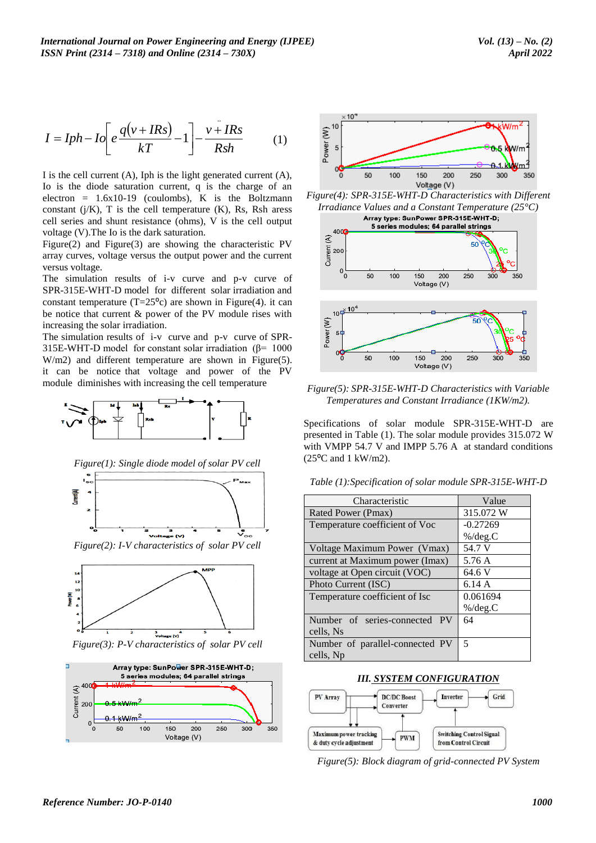$$
I = Iph - Io\left[e\frac{q(v + IRs)}{kT} - 1\right] - \frac{v + IRs}{Rsh} \tag{1}
$$





*Figure(2): I-V characteristics of solar PV cell*



*Figure(3): P-V characteristics of solar PV cell*





*Figure(4): SPR-315E-WHT-D Characteristics with Different Irradiance Values and a Constant Temperature (25°C)*



*Figure(5): SPR-315E-WHT-D Characteristics with Variable Temperatures and Constant Irradiance (1KW/m2).*

*Table (1):Specification of solar module SPR-315E-WHT-D*

| $I = Iph - Io\left[e\frac{q(v + IRs)}{kT} - 1\right]$<br>$v+IRs$<br>(1)                                            | Power $(M)$<br>B 5                                                                                     | (W/m <sup>∠</sup> |
|--------------------------------------------------------------------------------------------------------------------|--------------------------------------------------------------------------------------------------------|-------------------|
|                                                                                                                    |                                                                                                        | $0.5$ kW/m        |
| I is the cell current $(A)$ , Iph is the light generated current $(A)$ ,                                           | 50<br>100<br>150<br>200<br>Voltage (V)                                                                 | 250<br>300<br>350 |
| Io is the diode saturation current, q is the charge of an<br>electron = $1.6x10-19$ (coulombs), K is the Boltzmann | Figure(4): SPR-315E-WHT-D Characteristics with Different                                               |                   |
| constant $(j/K)$ , T is the cell temperature $(K)$ , Rs, Rsh aress                                                 | Irradiance Values and a Constant Temperature ( $25^{\circ}$ C)                                         |                   |
| cell series and shunt resistance (ohms), V is the cell output                                                      | Array type: SunPower SPR-315E-WHT-D;                                                                   |                   |
| voltage (V). The Io is the dark saturation.                                                                        | 5 series modules; 64 parallel strings<br>4000                                                          |                   |
| Figure $(2)$ and Figure $(3)$ are showing the characteristic PV                                                    | Current (A)                                                                                            |                   |
| array curves, voltage versus the output power and the current                                                      | 200                                                                                                    |                   |
| versus voltage.                                                                                                    |                                                                                                        |                   |
| The simulation results of i-v curve and p-v curve of                                                               | 50<br>100<br>200<br>150<br>0<br>Voltage (V)                                                            | 250<br>350<br>300 |
| SPR-315E-WHT-D model for different solar irradiation and                                                           |                                                                                                        |                   |
| constant temperature (T= $25^{\circ}$ c) are shown in Figure(4). it can                                            | $10^{4}$ $10^{4}$                                                                                      |                   |
| be notice that current & power of the PV module rises with                                                         |                                                                                                        | 50                |
| increasing the solar irradiation.<br>The simulation results of i-v curve and p-v curve of SPR-                     | Power <sub>(W)</sub>                                                                                   |                   |
| 315E-WHT-D model for constant solar irradiation ( $\beta$ = 1000                                                   |                                                                                                        |                   |
| $W/m2$ ) and different temperature are shown in Figure(5).                                                         | 50<br>100<br>200<br>150                                                                                | 250<br>300<br>350 |
| it can be notice that voltage and power of the PV                                                                  | Voltage (V)                                                                                            |                   |
| module diminishes with increasing the cell temperature                                                             |                                                                                                        |                   |
|                                                                                                                    | Figure(5): SPR-315E-WHT-D Characteristics with Variable                                                |                   |
|                                                                                                                    | Temperatures and Constant Irradiance (1KW/m2).                                                         |                   |
|                                                                                                                    | Specifications of solar module SPR-315E-WHT-D are                                                      |                   |
|                                                                                                                    | presented in Table (1). The solar module provides 315.072 W                                            |                   |
|                                                                                                                    | with VMPP 54.7 V and IMPP 5.76 A at standard conditions                                                |                   |
|                                                                                                                    | $(25^{\circ}$ C and 1 kW/m2).                                                                          |                   |
| $Figure (1):$ Single diode model of solar PV cell                                                                  |                                                                                                        |                   |
| $\mathbf{I}_{\mathbf{sc}}$                                                                                         | Table (1): Specification of solar module SPR-315E-WHT-D                                                |                   |
| Current (A)                                                                                                        | Characteristic                                                                                         | Value             |
| 2                                                                                                                  | Rated Power (Pmax)                                                                                     | 315.072W          |
|                                                                                                                    | Temperature coefficient of Voc                                                                         | $-0.27269$        |
| ∘∘่<br>$\overset{\bullet}{\mathsf{v}}_{\circ\circ}$<br>Voltage (V)                                                 |                                                                                                        | $\%$ /deg.C       |
| Figure(2): I-V characteristics of solar PV cell                                                                    | Voltage Maximum Power (Vmax)                                                                           | 54.7 V            |
|                                                                                                                    | current at Maximum power (Imax)                                                                        | 5.76 A            |
| <b>MPP</b>                                                                                                         | voltage at Open circuit (VOC)                                                                          | 64.6 V            |
| 12<br>10                                                                                                           | Photo Current (ISC)                                                                                    | 6.14 A            |
| Power (W)                                                                                                          | Temperature coefficient of Isc                                                                         | 0.061694          |
| 6                                                                                                                  |                                                                                                        | $\%$ /deg.C       |
|                                                                                                                    | Number of series-connected PV                                                                          | 64                |
| 3<br>Voltage (V)                                                                                                   | cells, Ns                                                                                              |                   |
| Figure(3): P-V characteristics of solar PV cell                                                                    | Number of parallel-connected PV                                                                        | 5                 |
| Ē                                                                                                                  | cells, Np                                                                                              |                   |
| Array type: SunPower SPR-315E-WHT-D;<br>5 series modules; 64 parallel strings                                      | <b>III. SYSTEM CONFIGURATION</b>                                                                       |                   |
| $rac{1}{\sqrt{2}}$ 400                                                                                             |                                                                                                        |                   |
|                                                                                                                    | <b>DC/DC</b> Boost<br>PV Array<br>Inverter                                                             | Grid              |
|                                                                                                                    | Converter                                                                                              |                   |
| 200<br>250<br>300<br>350<br>50<br>100<br>150<br>0                                                                  |                                                                                                        |                   |
| Voltage (V)                                                                                                        | <b>Maximum</b> power tracking<br><b>Switching Control Signal</b><br><b>PWM</b><br>from Control Circuit |                   |
|                                                                                                                    | & duty cycle adjustment                                                                                |                   |
|                                                                                                                    | Figure(5): Block diagram of grid-connected PV System                                                   |                   |
|                                                                                                                    |                                                                                                        |                   |
|                                                                                                                    |                                                                                                        |                   |
| Reference Number: JO-P-0140                                                                                        |                                                                                                        | 1000              |



*Figure(5): Block diagram of grid-connected PV System*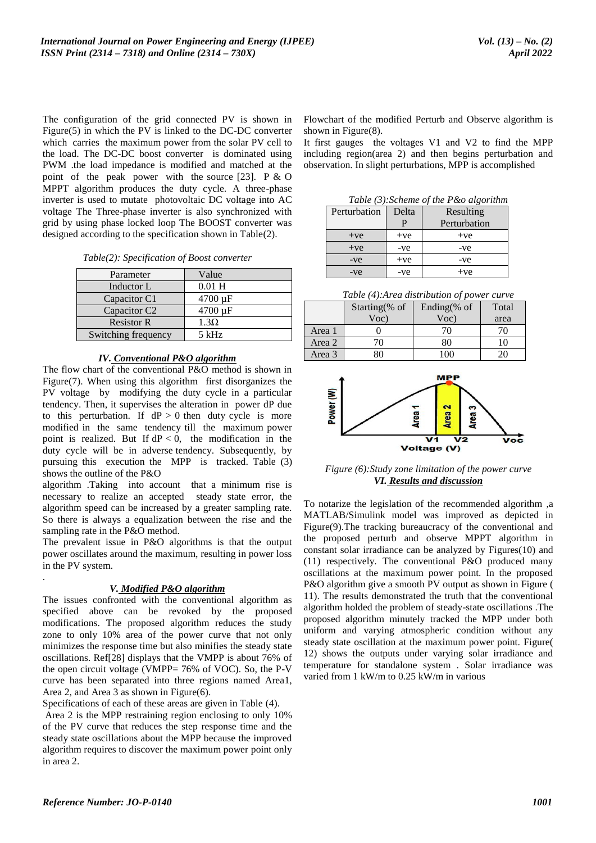The configuration of the grid connected PV is shown in Figure(5) in which the PV is linked to the DC-DC converter which carries the maximum power from the solar PV cell to the load. The DC-DC boost converter is dominated using PWM .the load impedance is modified and matched at the point of the peak power with the source  $[23]$ . P & O MPPT algorithm produces the duty cycle. A three-phase inverter is used to mutate photovoltaic DC voltage into AC voltage The Three-phase inverter is also synchronized with grid by using phase locked loop The BOOST converter was designed according to the specification shown in Table(2).

| Parameter                | Value        |
|--------------------------|--------------|
| Inductor L               | $0.01$ H     |
| Capacitor C1             | 4700 µF      |
| Capacitor C <sub>2</sub> | $4700 \mu F$ |
| <b>Resistor R</b>        | $1.3\Omega$  |
| Switching frequency      | $5$ kHz      |

#### *IV. Conventional P&O algorithm*

The flow chart of the conventional P&O method is shown in Figure(7). When using this algorithm first disorganizes the PV voltage by modifying the duty cycle in a particular tendency. Then, it supervises the alteration in power dP due to this perturbation. If  $dP > 0$  then duty cycle is more modified in the same tendency till the maximum power point is realized. But If  $dP < 0$ , the modification in the duty cycle will be in adverse tendency. Subsequently, by pursuing this execution the MPP is tracked. Table (3) shows the outline of the P&O

algorithm .Taking into account that a minimum rise is necessary to realize an accepted steady state error, the algorithm speed can be increased by a greater sampling rate. So there is always a equalization between the rise and the sampling rate in the P&O method.

The prevalent issue in P&O algorithms is that the output power oscillates around the maximum, resulting in power loss in the PV system. .

#### *V. Modified P&O algorithm*

The issues confronted with the conventional algorithm as specified above can be revoked by the proposed modifications. The proposed algorithm reduces the study zone to only 10% area of the power curve that not only minimizes the response time but also minifies the steady state oscillations. Ref[28] displays that the VMPP is about 76% of the open circuit voltage (VMPP= 76% of VOC). So, the P-V curve has been separated into three regions named Area1, Area 2, and Area 3 as shown in Figure(6).

Specifications of each of these areas are given in Table (4). Area 2 is the MPP restraining region enclosing to only 10% of the PV curve that reduces the step response time and the steady state oscillations about the MPP because the improved algorithm requires to discover the maximum power point only in area 2.

Flowchart of the modified Perturb and Observe algorithm is shown in Figure(8).

It first gauges the voltages V1 and V2 to find the MPP including region(area 2) and then begins perturbation and observation. In slight perturbations, MPP is accomplished

| Table (3): Scheme of the P &o algorithm |       |              |  |  |
|-----------------------------------------|-------|--------------|--|--|
| Perturbation                            | Delta | Resulting    |  |  |
|                                         | Р     | Perturbation |  |  |
| $+ve$                                   | $+ve$ | $+ve$        |  |  |
| $+ve$                                   | -ve   | -ve          |  |  |
| $-ve$                                   | $+ve$ | -ve          |  |  |
| -ve                                     | -ve   | $+ve$        |  |  |

*Table (4):Area distribution of power curve*

|        | Starting $%$ of | Ending $%$ of | Total |
|--------|-----------------|---------------|-------|
|        | $Voc$ )         | $Voc$ )       | area  |
| Area 1 |                 | 70            | 70    |
| Area 2 | 70              | 80            | 10    |
| Area 3 | 80              | 100           | 20    |



*Figure (6):Study zone limitation of the power curve VI. Results and discussion*

To notarize the legislation of the recommended algorithm ,a MATLAB/Simulink model was improved as depicted in Figure(9).The tracking bureaucracy of the conventional and the proposed perturb and observe MPPT algorithm in constant solar irradiance can be analyzed by Figures(10) and (11) respectively. The conventional P&O produced many oscillations at the maximum power point. In the proposed P&O algorithm give a smooth PV output as shown in Figure ( 11). The results demonstrated the truth that the conventional algorithm holded the problem of steady-state oscillations .The proposed algorithm minutely tracked the MPP under both uniform and varying atmospheric condition without any steady state oscillation at the maximum power point. Figure( 12) shows the outputs under varying solar irradiance and temperature for standalone system . Solar irradiance was varied from 1 kW/m to 0.25 kW/m in various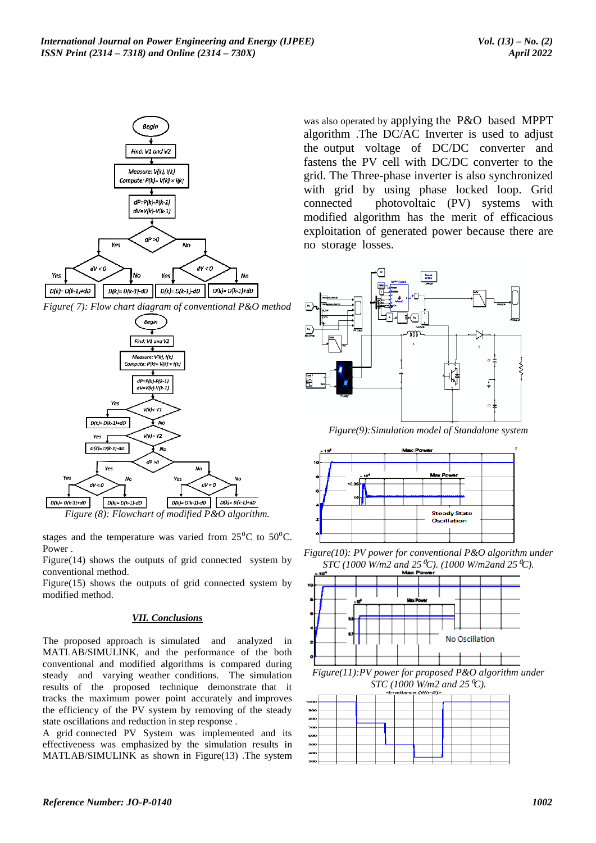

*Figure( 7): Flow chart diagram of conventional P&O method*



*Figure (8): Flowchart of modified P&O algorithm.*

stages and the temperature was varied from  $25\text{°C}$  to  $50\text{°C}$ . Power .

Figure(14) shows the outputs of grid connected system by conventional method.

Figure(15) shows the outputs of grid connected system by modified method.

# *VII. Conclusions*

The proposed approach is simulated and analyzed in MATLAB/SIMULINK, and the performance of the both conventional and modified algorithms is compared during steady and varying weather conditions. The simulation results of the proposed technique demonstrate that it tracks the maximum power point accurately and improves the efficiency of the PV system by removing of the steady state oscillations and reduction in step response .

A grid connected PV System was implemented and its effectiveness was emphasized by the simulation results in MATLAB/SIMULINK as shown in Figure(13) .The system

was also operated by applying the P&O based MPPT algorithm .The DC/AC Inverter is used to adjust the output voltage of DC/DC converter and fastens the PV cell with DC/DC converter to the grid. The Three-phase inverter is also synchronized with grid by using phase locked loop. Grid connected photovoltaic (PV) systems with modified algorithm has the merit of efficacious exploitation of generated power because there are no storage losses.



*Figure(9):Simulation model of Standalone system*



*Figure(10): PV power for conventional P&O algorithm under STC (1000 W/m2 and 25* <sup>*C*</sup>). (1000 *W/m2and 25* <sup>*C*</sup>).



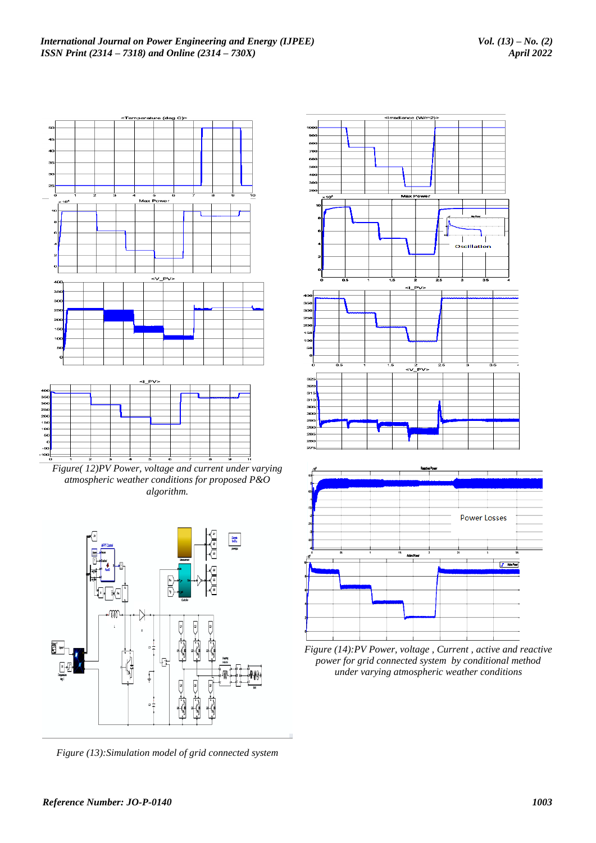

*Figure( 12)PV Power, voltage and current under varying atmospheric weather conditions for proposed P&O algorithm.*



*Figure (13):Simulation model of grid connected system* 



*Figure (14):PV Power, voltage , Current , active and reactive power for grid connected system by conditional method under varying atmospheric weather conditions*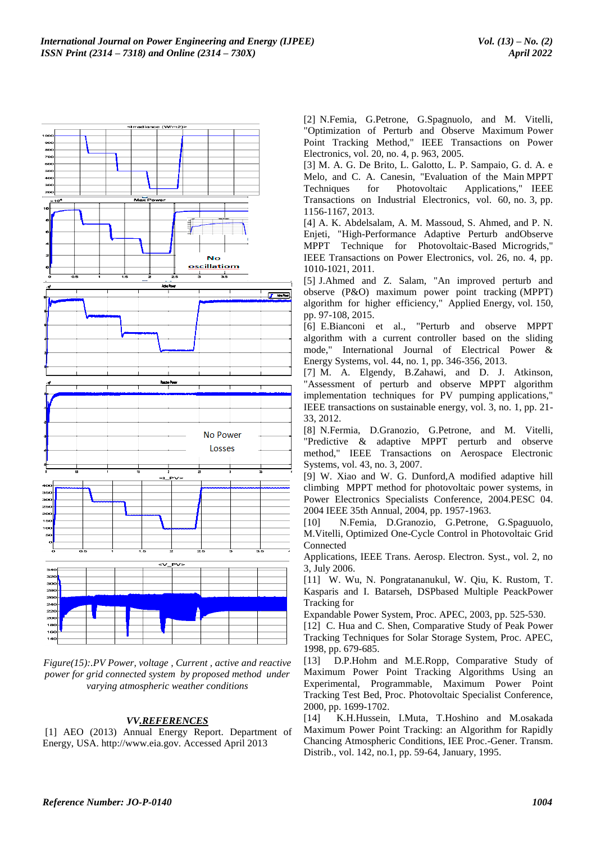

*Figure(15):.PV Power, voltage , Current , active and reactive power for grid connected system by proposed method under varying atmospheric weather conditions* 

# *VV.REFERENCES*

[1] AEO (2013) Annual Energy Report. Department of Energy, USA. http://www.eia.gov. Accessed April 2013

[2] N.Femia, G.Petrone, G.Spagnuolo, and M. Vitelli, "Optimization of Perturb and Observe Maximum Power Point Tracking Method," IEEE Transactions on Power Electronics, vol. 20, no. 4, p. 963, 2005.

[3] M. A. G. De Brito, L. Galotto, L. P. Sampaio, G. d. A. e Melo, and C. A. Canesin, "Evaluation of the Main MPPT Techniques for Photovoltaic Applications," IEEE Transactions on Industrial Electronics, vol. 60, no. 3, pp. 1156-1167, 2013.

[4] A. K. Abdelsalam, A. M. Massoud, S. Ahmed, and P. N. Enjeti, "High-Performance Adaptive Perturb andObserve MPPT Technique for Photovoltaic-Based Microgrids," IEEE Transactions on Power Electronics, vol. 26, no. 4, pp. 1010-1021, 2011.

[5] J.Ahmed and Z. Salam, "An improved perturb and observe (P&O) maximum power point tracking (MPPT) algorithm for higher efficiency," Applied Energy, vol. 150, pp. 97-108, 2015.

[6] E.Bianconi et al., "Perturb and observe MPPT algorithm with a current controller based on the sliding mode," International Journal of Electrical Power & Energy Systems, vol. 44, no. 1, pp. 346-356, 2013.

[7] M. A. Elgendy, B.Zahawi, and D. J. Atkinson, "Assessment of perturb and observe MPPT algorithm implementation techniques for PV pumping applications," IEEE transactions on sustainable energy, vol. 3, no. 1, pp. 21- 33, 2012.

[8] N.Fermia, D.Granozio, G.Petrone, and M. Vitelli, "Predictive & adaptive MPPT perturb and observe method," IEEE Transactions on Aerospace Electronic Systems, vol. 43, no. 3, 2007.

[9] W. Xiao and W. G. Dunford,A modified adaptive hill climbing MPPT method for photovoltaic power systems, in Power Electronics Specialists Conference, 2004.PESC 04. 2004 IEEE 35th Annual, 2004, pp. 1957-1963.

[10] N.Femia, D.Granozio, G.Petrone, G.Spaguuolo, M.Vitelli, Optimized One-Cycle Control in Photovoltaic Grid Connected

Applications, IEEE Trans. Aerosp. Electron. Syst., vol. 2, no 3, July 2006.

[11] W. Wu, N. Pongratananukul, W. Qiu, K. Rustom, T. Kasparis and I. Batarseh, DSPbased Multiple PeackPower Tracking for

Expandable Power System, Proc. APEC, 2003, pp. 525-530.

[12] C. Hua and C. Shen, Comparative Study of Peak Power Tracking Techniques for Solar Storage System, Proc. APEC, 1998, pp. 679-685.

[13] D.P.Hohm and M.E.Ropp, Comparative Study of Maximum Power Point Tracking Algorithms Using an Experimental, Programmable, Maximum Power Point Tracking Test Bed, Proc. Photovoltaic Specialist Conference, 2000, pp. 1699-1702.

[14] K.H.Hussein, I.Muta, T.Hoshino and M.osakada Maximum Power Point Tracking: an Algorithm for Rapidly Chancing Atmospheric Conditions, IEE Proc.-Gener. Transm. Distrib., vol. 142, no.1, pp. 59-64, January, 1995.